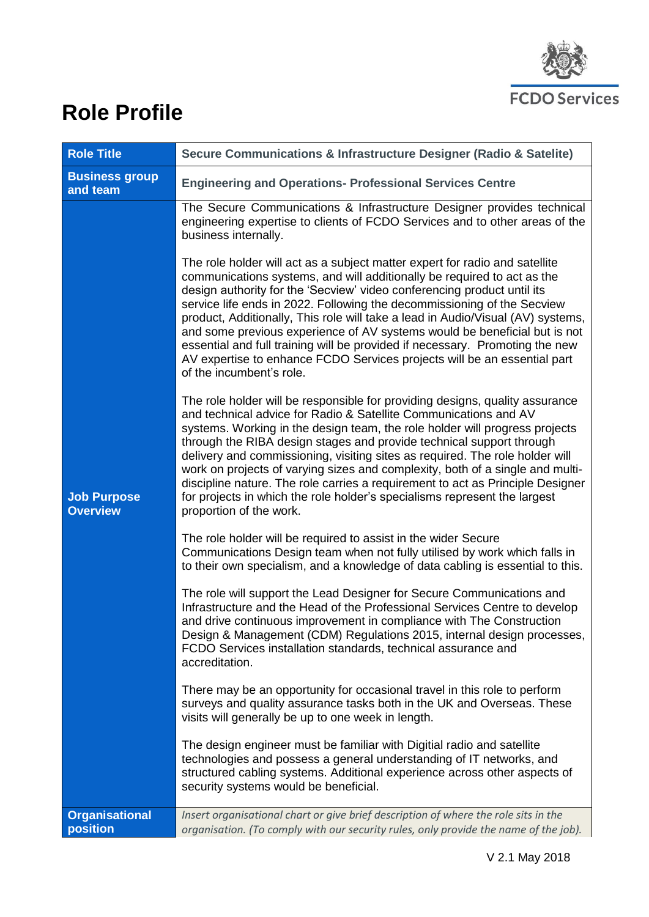

# **Role Profile**

| <b>Role Title</b>                     | Secure Communications & Infrastructure Designer (Radio & Satelite)                                                                                                                                                                                                                                                                                                                                                                                                                                                                                                                                                                                                                                                                                                                                                                                    |  |  |  |
|---------------------------------------|-------------------------------------------------------------------------------------------------------------------------------------------------------------------------------------------------------------------------------------------------------------------------------------------------------------------------------------------------------------------------------------------------------------------------------------------------------------------------------------------------------------------------------------------------------------------------------------------------------------------------------------------------------------------------------------------------------------------------------------------------------------------------------------------------------------------------------------------------------|--|--|--|
| <b>Business group</b><br>and team     | <b>Engineering and Operations- Professional Services Centre</b>                                                                                                                                                                                                                                                                                                                                                                                                                                                                                                                                                                                                                                                                                                                                                                                       |  |  |  |
|                                       | The Secure Communications & Infrastructure Designer provides technical<br>engineering expertise to clients of FCDO Services and to other areas of the<br>business internally.<br>The role holder will act as a subject matter expert for radio and satellite<br>communications systems, and will additionally be required to act as the<br>design authority for the 'Secview' video conferencing product until its<br>service life ends in 2022. Following the decommissioning of the Secview<br>product, Additionally, This role will take a lead in Audio/Visual (AV) systems,<br>and some previous experience of AV systems would be beneficial but is not<br>essential and full training will be provided if necessary. Promoting the new<br>AV expertise to enhance FCDO Services projects will be an essential part<br>of the incumbent's role. |  |  |  |
| <b>Job Purpose</b><br><b>Overview</b> | The role holder will be responsible for providing designs, quality assurance<br>and technical advice for Radio & Satellite Communications and AV<br>systems. Working in the design team, the role holder will progress projects<br>through the RIBA design stages and provide technical support through<br>delivery and commissioning, visiting sites as required. The role holder will<br>work on projects of varying sizes and complexity, both of a single and multi-<br>discipline nature. The role carries a requirement to act as Principle Designer<br>for projects in which the role holder's specialisms represent the largest<br>proportion of the work.                                                                                                                                                                                    |  |  |  |
|                                       | The role holder will be required to assist in the wider Secure<br>Communications Design team when not fully utilised by work which falls in<br>to their own specialism, and a knowledge of data cabling is essential to this.                                                                                                                                                                                                                                                                                                                                                                                                                                                                                                                                                                                                                         |  |  |  |
|                                       | The role will support the Lead Designer for Secure Communications and<br>Infrastructure and the Head of the Professional Services Centre to develop<br>and drive continuous improvement in compliance with The Construction<br>Design & Management (CDM) Regulations 2015, internal design processes,<br>FCDO Services installation standards, technical assurance and<br>accreditation.                                                                                                                                                                                                                                                                                                                                                                                                                                                              |  |  |  |
|                                       | There may be an opportunity for occasional travel in this role to perform<br>surveys and quality assurance tasks both in the UK and Overseas. These<br>visits will generally be up to one week in length.                                                                                                                                                                                                                                                                                                                                                                                                                                                                                                                                                                                                                                             |  |  |  |
|                                       | The design engineer must be familiar with Digitial radio and satellite<br>technologies and possess a general understanding of IT networks, and<br>structured cabling systems. Additional experience across other aspects of<br>security systems would be beneficial.                                                                                                                                                                                                                                                                                                                                                                                                                                                                                                                                                                                  |  |  |  |
| <b>Organisational</b><br>position     | Insert organisational chart or give brief description of where the role sits in the<br>organisation. (To comply with our security rules, only provide the name of the job).                                                                                                                                                                                                                                                                                                                                                                                                                                                                                                                                                                                                                                                                           |  |  |  |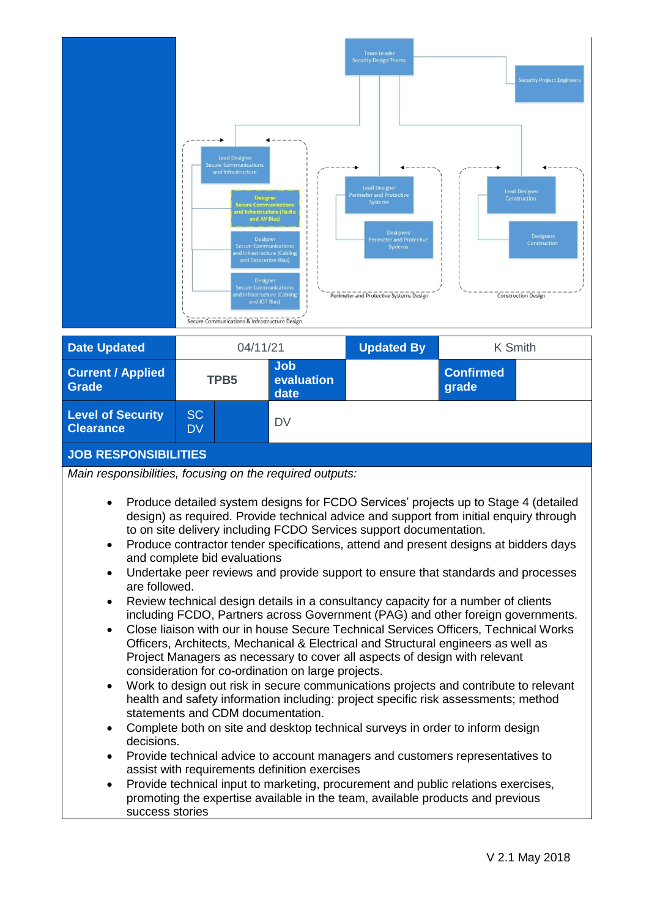|                                                                                                                                                         | <b>Lead Designer</b><br><b>Secure Communications</b><br>and Infrastructure<br><b>Secure Communications</b><br>and AV Bias)<br>Designer<br>and Infrastructure (Cabling<br>and Datacentre Bias)<br>Designer<br><b>Secure Communications</b><br>and Infrastructure (Cabling<br>and IOT Bias)<br>Secure Communications & Infrastructure Design | Designer<br>and Infrastructure (Radio<br><b>Secure Communications</b> | <b>Team Leader</b><br><b>Security Design Teams</b><br><b>Lead Designer</b><br>Perimeter and Protective<br><b>Systems</b><br><b>Designers</b><br><b>Perimeter and Protective</b><br>Systems<br>Perimeter and Protective Systems Design | <b>Security Project Engineers</b><br><b>Lead Designer</b><br>Construction<br>Designers<br>Construction<br><b>Construction Design</b>                                                                                                                                                                                                                                                                                                                                                                                                                                                                                                                                                                                                                                                                                                                                                         |
|---------------------------------------------------------------------------------------------------------------------------------------------------------|--------------------------------------------------------------------------------------------------------------------------------------------------------------------------------------------------------------------------------------------------------------------------------------------------------------------------------------------|-----------------------------------------------------------------------|---------------------------------------------------------------------------------------------------------------------------------------------------------------------------------------------------------------------------------------|----------------------------------------------------------------------------------------------------------------------------------------------------------------------------------------------------------------------------------------------------------------------------------------------------------------------------------------------------------------------------------------------------------------------------------------------------------------------------------------------------------------------------------------------------------------------------------------------------------------------------------------------------------------------------------------------------------------------------------------------------------------------------------------------------------------------------------------------------------------------------------------------|
| <b>Date Updated</b>                                                                                                                                     | 04/11/21                                                                                                                                                                                                                                                                                                                                   |                                                                       | <b>Updated By</b>                                                                                                                                                                                                                     | K Smith                                                                                                                                                                                                                                                                                                                                                                                                                                                                                                                                                                                                                                                                                                                                                                                                                                                                                      |
| <b>Current / Applied</b><br>Grade                                                                                                                       | TPB <sub>5</sub>                                                                                                                                                                                                                                                                                                                           | <b>Job</b><br>evaluation<br>date                                      |                                                                                                                                                                                                                                       | <b>Confirmed</b><br>grade                                                                                                                                                                                                                                                                                                                                                                                                                                                                                                                                                                                                                                                                                                                                                                                                                                                                    |
| <b>Level of Security</b><br><b>Clearance</b>                                                                                                            | <b>SC</b><br><b>DV</b>                                                                                                                                                                                                                                                                                                                     | <b>DV</b>                                                             |                                                                                                                                                                                                                                       |                                                                                                                                                                                                                                                                                                                                                                                                                                                                                                                                                                                                                                                                                                                                                                                                                                                                                              |
| <b>JOB RESPONSIBILITIES</b>                                                                                                                             |                                                                                                                                                                                                                                                                                                                                            |                                                                       |                                                                                                                                                                                                                                       |                                                                                                                                                                                                                                                                                                                                                                                                                                                                                                                                                                                                                                                                                                                                                                                                                                                                                              |
| Main responsibilities, focusing on the required outputs:<br>$\bullet$<br>$\bullet$<br>are followed.<br>$\bullet$<br>$\bullet$<br>$\bullet$<br>$\bullet$ | and complete bid evaluations<br>consideration for co-ordination on large projects.<br>statements and CDM documentation.<br>Complete both on site and desktop technical surveys in order to inform design                                                                                                                                   |                                                                       | to on site delivery including FCDO Services support documentation.<br>Project Managers as necessary to cover all aspects of design with relevant                                                                                      | Produce detailed system designs for FCDO Services' projects up to Stage 4 (detailed<br>design) as required. Provide technical advice and support from initial enquiry through<br>Produce contractor tender specifications, attend and present designs at bidders days<br>Undertake peer reviews and provide support to ensure that standards and processes<br>Review technical design details in a consultancy capacity for a number of clients<br>including FCDO, Partners across Government (PAG) and other foreign governments.<br>Close liaison with our in house Secure Technical Services Officers, Technical Works<br>Officers, Architects, Mechanical & Electrical and Structural engineers as well as<br>Work to design out risk in secure communications projects and contribute to relevant<br>health and safety information including: project specific risk assessments; method |

 Provide technical input to marketing, procurement and public relations exercises, promoting the expertise available in the team, available products and previous success stories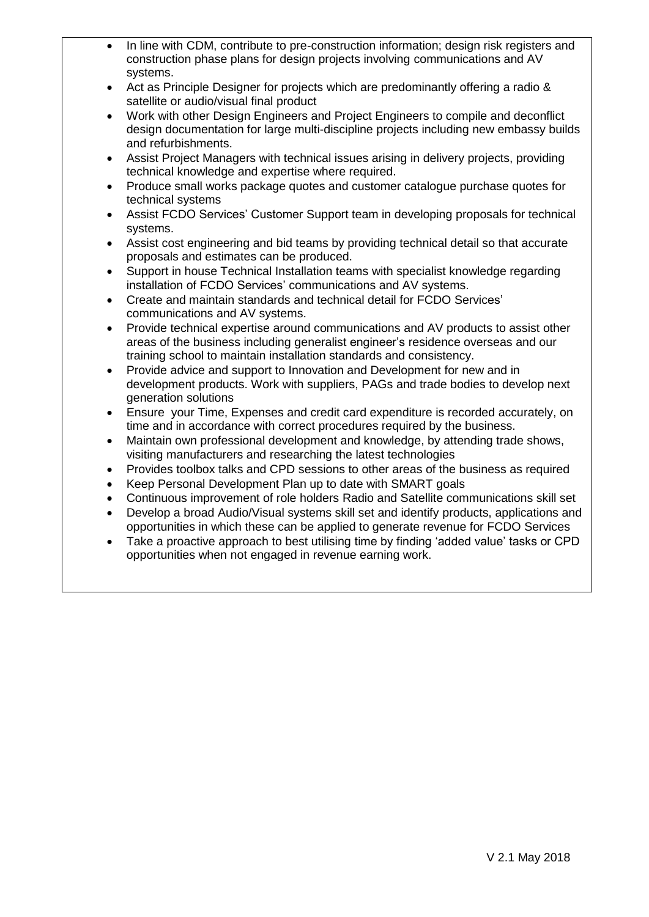- In line with CDM, contribute to pre-construction information; design risk registers and construction phase plans for design projects involving communications and AV systems.
- Act as Principle Designer for projects which are predominantly offering a radio & satellite or audio/visual final product
- Work with other Design Engineers and Project Engineers to compile and deconflict design documentation for large multi-discipline projects including new embassy builds and refurbishments.
- Assist Project Managers with technical issues arising in delivery projects, providing technical knowledge and expertise where required.
- Produce small works package quotes and customer catalogue purchase quotes for technical systems
- Assist FCDO Services' Customer Support team in developing proposals for technical systems.
- Assist cost engineering and bid teams by providing technical detail so that accurate proposals and estimates can be produced.
- Support in house Technical Installation teams with specialist knowledge regarding installation of FCDO Services' communications and AV systems.
- Create and maintain standards and technical detail for FCDO Services' communications and AV systems.
- Provide technical expertise around communications and AV products to assist other areas of the business including generalist engineer's residence overseas and our training school to maintain installation standards and consistency.
- Provide advice and support to Innovation and Development for new and in development products. Work with suppliers, PAGs and trade bodies to develop next generation solutions
- Ensure your Time, Expenses and credit card expenditure is recorded accurately, on time and in accordance with correct procedures required by the business.
- Maintain own professional development and knowledge, by attending trade shows, visiting manufacturers and researching the latest technologies
- Provides toolbox talks and CPD sessions to other areas of the business as required
- Keep Personal Development Plan up to date with SMART goals
- Continuous improvement of role holders Radio and Satellite communications skill set
- Develop a broad Audio/Visual systems skill set and identify products, applications and opportunities in which these can be applied to generate revenue for FCDO Services
- Take a proactive approach to best utilising time by finding 'added value' tasks or CPD opportunities when not engaged in revenue earning work.